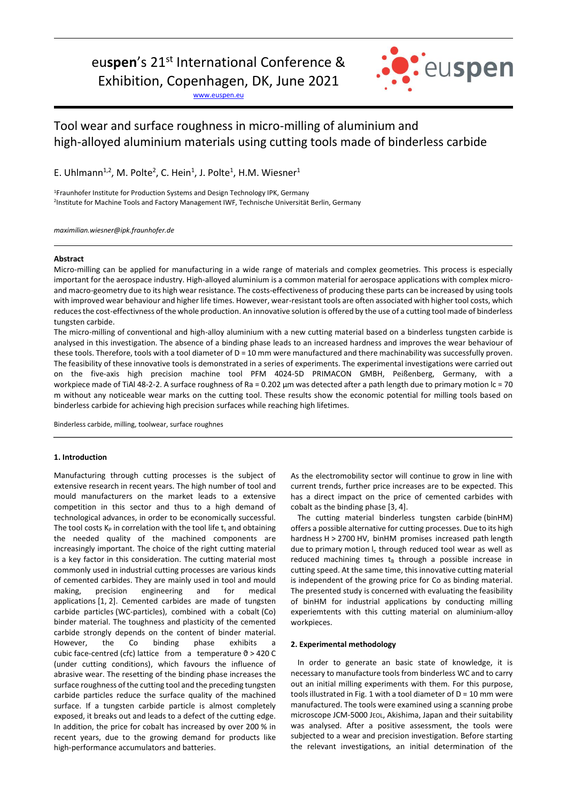# eu**spen**'s 21st International Conference &

Exhibition, Copenhagen, DK, June 2021

[www.euspen.eu](http://www.euspen.eu/)



## Tool wear and surface roughness in micro-milling of aluminium and high-alloyed aluminium materials using cutting tools made of binderless carbide

E. Uhlmann<sup>1,2</sup>, M. Polte<sup>2</sup>, C. Hein<sup>1</sup>, J. Polte<sup>1</sup>, H.M. Wiesner<sup>1</sup>

<sup>1</sup>Fraunhofer Institute for Production Systems and Design Technology IPK, Germany 2 Institute for Machine Tools and Factory Management IWF, Technische Universität Berlin, Germany

*maximilian.wiesner@ipk.fraunhofer.de*

## **Abstract**

Micro-milling can be applied for manufacturing in a wide range of materials and complex geometries. This process is especially important for the aerospace industry. High-alloyed aluminium is a common material for aerospace applications with complex microand macro-geometry due to its high wear resistance. The costs-effectiveness of producing these parts can be increased by using tools with improved wear behaviour and higher life times. However, wear-resistant tools are often associated with higher tool costs, which reduces the cost-effectivness of the whole production. An innovative solution is offered by the use of a cutting tool made of binderless tungsten carbide.

The micro-milling of conventional and high-alloy aluminium with a new cutting material based on a binderless tungsten carbide is analysed in this investigation. The absence of a binding phase leads to an increased hardness and improves the wear behaviour of these tools. Therefore, tools with a tool diameter of D = 10 mm were manufactured and there machinability was successfully proven. The feasibility of these innovative tools is demonstrated in a series of experiments. The experimental investigations were carried out on the five-axis high precision machine tool PFM 4024-5D PRIMACON GMBH, Peißenberg, Germany, with a workpiece made of TiAl 48-2-2. A surface roughness of Ra = 0.202 µm was detected after a path length due to primary motion lc = 70 m without any noticeable wear marks on the cutting tool. These results show the economic potential for milling tools based on binderless carbide for achieving high precision surfaces while reaching high lifetimes.

Binderless carbide, milling, toolwear, surface roughnes

## **1. Introduction**

Manufacturing through cutting processes is the subject of extensive research in recent years. The high number of tool and mould manufacturers on the market leads to a extensive competition in this sector and thus to a high demand of technological advances, in order to be economically successful. The tool costs  $K_P$  in correlation with the tool life  $t_s$  and obtaining the needed quality of the machined components are increasingly important. The choice of the right cutting material is a key factor in this consideration. The cutting material most commonly used in industrial cutting processes are various kinds of cemented carbides. They are mainly used in tool and mould making, precision engineering and for medical applications [1, 2]. Cemented carbides are made of tungsten carbide particles (WC-particles), combined with a cobalt (Co) binder material. The toughness and plasticity of the cemented carbide strongly depends on the content of binder material. However, the Co binding phase exhibits a cubic face-centred (cfc) lattice from a temperature  $\vartheta$  > 420 C (under cutting conditions), which favours the influence of abrasive wear. The resetting of the binding phase increases the surface roughness of the cutting tool and the preceding tungsten carbide particles reduce the surface quality of the machined surface. If a tungsten carbide particle is almost completely exposed, it breaks out and leads to a defect of the cutting edge. In addition, the price for cobalt has increased by over 200 % in recent years, due to the growing demand for products like high-performance accumulators and batteries.

As the electromobility sector will continue to grow in line with current trends, further price increases are to be expected. This has a direct impact on the price of cemented carbides with cobalt as the binding phase [3, 4].

The cutting material binderless tungsten carbide (binHM) offers a possible alternative for cutting processes. Due to its high hardness H > 2700 HV, binHM promises increased path length due to primary motion  $I_c$  through reduced tool wear as well as reduced machining times  $t_B$  through a possible increase in cutting speed. At the same time, this innovative cutting material is independent of the growing price for Co as binding material. The presented study is concerned with evaluating the feasibility of binHM for industrial applications by conducting milling experiemtents with this cutting material on aluminium-alloy workpieces.

### **2. Experimental methodology**

In order to generate an basic state of knowledge, it is necessary to manufacture tools from binderless WC and to carry out an initial milling experiments with them. For this purpose, tools illustrated in Fig. 1 with a tool diameter of  $D = 10$  mm were manufactured. The tools were examined using a scanning probe microscope JCM-5000 JEOL, Akishima, Japan and their suitability was analysed. After a positive assessment, the tools were subjected to a wear and precision investigation. Before starting the relevant investigations, an initial determination of the